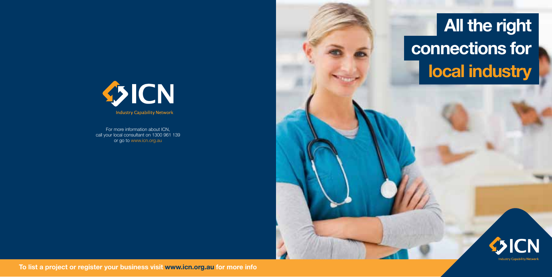## **All the right connections for local industry**



**To list a project or register your business visit www.icn.org.au for more info**





For more information about ICN, call your local consultant on 1300 961 139 or go to www.icn.org.au